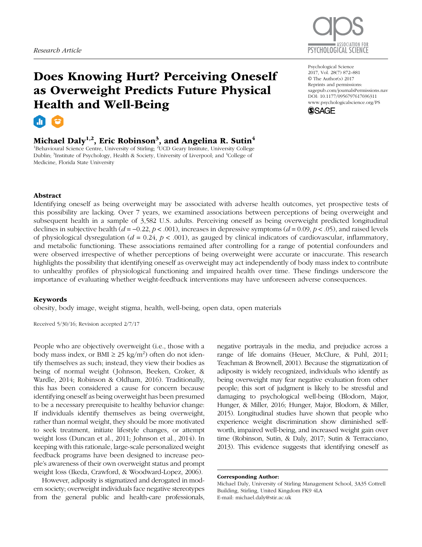

# Does Knowing Hurt? Perceiving Oneself as Overweight Predicts Future Physical Health and Well-Being

## Michael Daly<sup>1,2</sup>, Eric Robinson<sup>3</sup>, and Angelina R. Sutin<sup>4</sup><br><sup>1</sup>Behavioural Science Centre, University of Stirling; <sup>2</sup>UCD Geary Institute, University College

Dublin; <sup>3</sup>Institute of Psychology, Health & Society, University of Liverpool; and <sup>4</sup>College of Medicine, Florida State University

https://doi.org/10.1177/0956797617696311 DOI: 10.1177/0956797617696311 Psychological Science 2017, Vol. 28(7) 872–881 © The Author(s) 2017 Reprints and permissions: [sagepub.com/journalsPermissions.nav](http://sagepub.com/journalsPermissions.nav) [www.psychologicalscience.org/PS](http://www.psychologicalscience.org/ps)



#### Abstract

Identifying oneself as being overweight may be associated with adverse health outcomes, yet prospective tests of this possibility are lacking. Over 7 years, we examined associations between perceptions of being overweight and subsequent health in a sample of 3,582 U.S. adults. Perceiving oneself as being overweight predicted longitudinal declines in subjective health (*d* = −0.22, *p* < .001), increases in depressive symptoms (*d* = 0.09, *p* < .05), and raised levels of physiological dysregulation (*d* = 0.24, *p* < .001), as gauged by clinical indicators of cardiovascular, inflammatory, and metabolic functioning. These associations remained after controlling for a range of potential confounders and were observed irrespective of whether perceptions of being overweight were accurate or inaccurate. This research highlights the possibility that identifying oneself as overweight may act independently of body mass index to contribute to unhealthy profiles of physiological functioning and impaired health over time. These findings underscore the importance of evaluating whether weight-feedback interventions may have unforeseen adverse consequences.

### Keywords

obesity, body image, weight stigma, health, well-being, open data, open materials

Received 5/30/16; Revision accepted 2/7/17

People who are objectively overweight (i.e., those with a body mass index, or BMI  $\geq$  25 kg/m<sup>2</sup>) often do not identify themselves as such; instead, they view their bodies as being of normal weight (Johnson, Beeken, Croker, & Wardle, 2014; Robinson & Oldham, 2016). Traditionally, this has been considered a cause for concern because identifying oneself as being overweight has been presumed to be a necessary prerequisite to healthy behavior change: If individuals identify themselves as being overweight, rather than normal weight, they should be more motivated to seek treatment, initiate lifestyle changes, or attempt weight loss (Duncan et al., 2011; Johnson et al., 2014). In keeping with this rationale, large-scale personalized weight feedback programs have been designed to increase people's awareness of their own overweight status and prompt weight loss (Ikeda, Crawford, & Woodward-Lopez, 2006).

However, adiposity is stigmatized and derogated in modern society; overweight individuals face negative stereotypes from the general public and health-care professionals,

negative portrayals in the media, and prejudice across a range of life domains (Heuer, McClure, & Puhl, 2011; Teachman & Brownell, 2001). Because the stigmatization of adiposity is widely recognized, individuals who identify as being overweight may fear negative evaluation from other people; this sort of judgment is likely to be stressful and damaging to psychological well-being (Blodorn, Major, Hunger, & Miller, 2016; Hunger, Major, Blodorn, & Miller, 2015). Longitudinal studies have shown that people who experience weight discrimination show diminished selfworth, impaired well-being, and increased weight gain over time (Robinson, Sutin, & Daly, 2017; Sutin & Terracciano, 2013). This evidence suggests that identifying oneself as

#### Corresponding Author:

Michael Daly, University of Stirling Management School, 3A35 Cottrell Building, Stirling, United Kingdom FK9 4LA E-mail: michael.daly@stir.ac.uk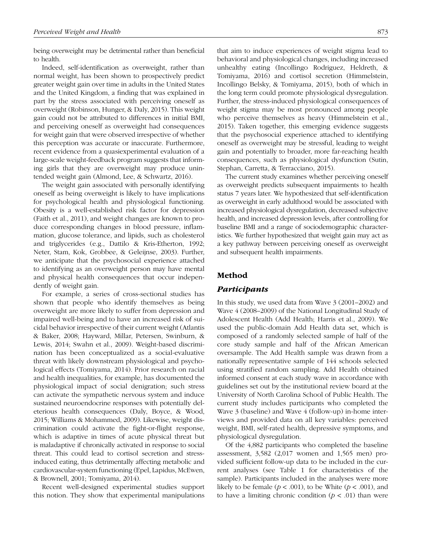being overweight may be detrimental rather than beneficial to health.

Indeed, self-identification as overweight, rather than normal weight, has been shown to prospectively predict greater weight gain over time in adults in the United States and the United Kingdom, a finding that was explained in part by the stress associated with perceiving oneself as overweight (Robinson, Hunger, & Daly, 2015). This weight gain could not be attributed to differences in initial BMI, and perceiving oneself as overweight had consequences for weight gain that were observed irrespective of whether this perception was accurate or inaccurate. Furthermore, recent evidence from a quasiexperimental evaluation of a large-scale weight-feedback program suggests that informing girls that they are overweight may produce unintended weight gain (Almond, Lee, & Schwartz, 2016).

The weight gain associated with personally identifying oneself as being overweight is likely to have implications for psychological health and physiological functioning. Obesity is a well-established risk factor for depression (Faith et al., 2011), and weight changes are known to produce corresponding changes in blood pressure, inflammation, glucose tolerance, and lipids, such as cholesterol and triglycerides (e.g., Dattilo & Kris-Etherton, 1992; Neter, Stam, Kok, Grobbee, & Geleijnse, 2003). Further, we anticipate that the psychosocial experience attached to identifying as an overweight person may have mental and physical health consequences that occur independently of weight gain.

For example, a series of cross-sectional studies has shown that people who identify themselves as being overweight are more likely to suffer from depression and impaired well-being and to have an increased risk of suicidal behavior irrespective of their current weight (Atlantis & Baker, 2008; Hayward, Millar, Petersen, Swinburn, & Lewis, 2014; Swahn et al., 2009). Weight-based discrimination has been conceptualized as a social-evaluative threat with likely downstream physiological and psychological effects (Tomiyama, 2014). Prior research on racial and health inequalities, for example, has documented the physiological impact of social denigration; such stress can activate the sympathetic nervous system and induce sustained neuroendocrine responses with potentially deleterious health consequences (Daly, Boyce, & Wood, 2015; Williams & Mohammed, 2009). Likewise, weight discrimination could activate the fight-or-flight response, which is adaptive in times of acute physical threat but is maladaptive if chronically activated in response to social threat. This could lead to cortisol secretion and stressinduced eating, thus detrimentally affecting metabolic and cardiovascular-system functioning (Epel, Lapidus, McEwen, & Brownell, 2001; Tomiyama, 2014).

Recent well-designed experimental studies support this notion. They show that experimental manipulations that aim to induce experiences of weight stigma lead to behavioral and physiological changes, including increased unhealthy eating (Incollingo Rodriguez, Heldreth, & Tomiyama, 2016) and cortisol secretion (Himmelstein, Incollingo Belsky, & Tomiyama, 2015), both of which in the long term could promote physiological dysregulation. Further, the stress-induced physiological consequences of weight stigma may be most pronounced among people who perceive themselves as heavy (Himmelstein et al., 2015). Taken together, this emerging evidence suggests that the psychosocial experience attached to identifying oneself as overweight may be stressful, leading to weight gain and potentially to broader, more far-reaching health consequences, such as physiological dysfunction (Sutin, Stephan, Carretta, & Terracciano, 2015).

The current study examines whether perceiving oneself as overweight predicts subsequent impairments to health status 7 years later. We hypothesized that self-identification as overweight in early adulthood would be associated with increased physiological dysregulation, decreased subjective health, and increased depression levels, after controlling for baseline BMI and a range of sociodemographic characteristics. We further hypothesized that weight gain may act as a key pathway between perceiving oneself as overweight and subsequent health impairments.

## Method

## *Participants*

In this study, we used data from Wave 3 (2001–2002) and Wave 4 (2008–2009) of the National Longitudinal Study of Adolescent Health (Add Health; Harris et al., 2009). We used the public-domain Add Health data set, which is composed of a randomly selected sample of half of the core study sample and half of the African American oversample. The Add Health sample was drawn from a nationally representative sample of 144 schools selected using stratified random sampling. Add Health obtained informed consent at each study wave in accordance with guidelines set out by the institutional review board at the University of North Carolina School of Public Health. The current study includes participants who completed the Wave 3 (baseline) and Wave 4 (follow-up) in-home interviews and provided data on all key variables: perceived weight, BMI, self-rated health, depressive symptoms, and physiological dysregulation.

Of the 4,882 participants who completed the baseline assessment, 3,582 (2,017 women and 1,565 men) provided sufficient follow-up data to be included in the current analyses (see Table 1 for characteristics of the sample). Participants included in the analyses were more likely to be female ( $p < .001$ ), to be White ( $p < .001$ ), and to have a limiting chronic condition  $(p < .01)$  than were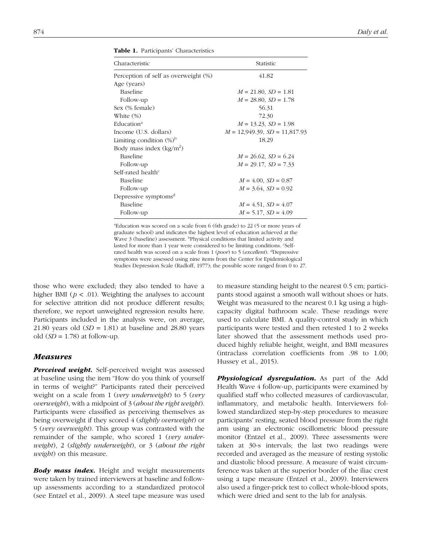| Characteristic                       | Statistic                       |  |  |  |
|--------------------------------------|---------------------------------|--|--|--|
| Perception of self as overweight (%) | 41.82                           |  |  |  |
| Age (years)                          |                                 |  |  |  |
| Baseline                             | $M = 21.80, SD = 1.81$          |  |  |  |
| Follow-up                            | $M = 28.80, SD = 1.78$          |  |  |  |
| Sex (% female)                       | 56.31                           |  |  |  |
| White (%)                            | 72.30                           |  |  |  |
| Education <sup>a</sup>               | $M = 13.23$ , $SD = 1.98$       |  |  |  |
| Income (U.S. dollars)                | $M = 12,949.39, SD = 11,817.93$ |  |  |  |
| Limiting condition $(\%)^b$          | 18.29                           |  |  |  |
| Body mass index (kg/m <sup>2</sup> ) |                                 |  |  |  |
| Baseline                             | $M = 26.62$ , $SD = 6.24$       |  |  |  |
| Follow-up                            | $M = 29.17$ , $SD = 7.33$       |  |  |  |
| Self-rated health <sup>c</sup>       |                                 |  |  |  |
| Baseline                             | $M = 4.00$ , $SD = 0.87$        |  |  |  |
| Follow-up                            | $M = 3.64$ , $SD = 0.92$        |  |  |  |
| Depressive symptoms <sup>d</sup>     |                                 |  |  |  |
| Baseline                             | $M = 4.51$ , $SD = 4.07$        |  |  |  |
| Follow-up                            | $M = 5.17$ , $SD = 4.09$        |  |  |  |

Table 1. Participants' Characteristics

a Education was scored on a scale from 6 (6th grade) to 22 (5 or more years of graduate school) and indicates the highest level of education achieved at the Wave 3 (baseline) assessment. <sup>b</sup>Physical conditions that limited activity and lasted for more than 1 year were considered to be limiting conditions. 'Selfrated health was scored on a scale from 1 (*poor*) to 5 (*excellent*). dDepressive symptoms were assessed using nine items from the Center for Epidemiological Studies Depression Scale (Radloff, 1977); the possible score ranged from 0 to 27.

those who were excluded; they also tended to have a higher BMI ( $p < .01$ ). Weighting the analyses to account for selective attrition did not produce different results; therefore, we report unweighted regression results here. Participants included in the analysis were, on average, 21.80 years old  $(SD = 1.81)$  at baseline and 28.80 years old  $(SD = 1.78)$  at follow-up.

## *Measures*

*Perceived weight.* Self-perceived weight was assessed at baseline using the item "How do you think of yourself in terms of weight?" Participants rated their perceived weight on a scale from 1 (*very underweight*) to 5 (*very overweight*), with a midpoint of 3 (*about the right weight*). Participants were classified as perceiving themselves as being overweight if they scored 4 (*slightly overweight*) or 5 (*very overweight*). This group was contrasted with the remainder of the sample, who scored 1 (*very underweight*), 2 (*slightly underweight*), or 3 (*about the right weight*) on this measure.

*Body mass index.* Height and weight measurements were taken by trained interviewers at baseline and followup assessments according to a standardized protocol (see Entzel et al., 2009). A steel tape measure was used to measure standing height to the nearest 0.5 cm; participants stood against a smooth wall without shoes or hats. Weight was measured to the nearest 0.1 kg using a highcapacity digital bathroom scale. These readings were used to calculate BMI. A quality-control study in which participants were tested and then retested 1 to 2 weeks later showed that the assessment methods used produced highly reliable height, weight, and BMI measures (intraclass correlation coefficients from .98 to 1.00; Hussey et al., 2015).

**Physiological dysregulation.** As part of the Add Health Wave 4 follow-up, participants were examined by qualified staff who collected measures of cardiovascular, inflammatory, and metabolic health. Interviewers followed standardized step-by-step procedures to measure participants' resting, seated blood pressure from the right arm using an electronic oscillometric blood pressure monitor (Entzel et al., 2009). Three assessments were taken at 30-s intervals; the last two readings were recorded and averaged as the measure of resting systolic and diastolic blood pressure. A measure of waist circumference was taken at the superior border of the iliac crest using a tape measure (Entzel et al., 2009). Interviewers also used a finger-prick test to collect whole-blood spots, which were dried and sent to the lab for analysis.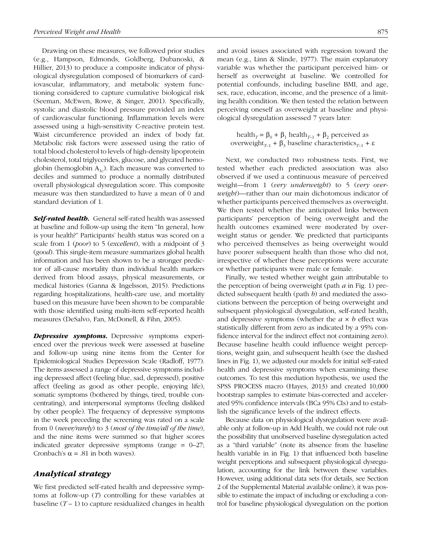Drawing on these measures, we followed prior studies (e.g., Hampson, Edmonds, Goldberg, Dubanoski, & Hillier, 2013) to produce a composite indicator of physiological dysregulation composed of biomarkers of cardiovascular, inflammatory, and metabolic system functioning considered to capture cumulative biological risk (Seeman, McEwen, Rowe, & Singer, 2001). Specifically, systolic and diastolic blood pressure provided an index of cardiovascular functioning. Inflammation levels were assessed using a high-sensitivity C-reactive protein test. Waist circumference provided an index of body fat. Metabolic risk factors were assessed using the ratio of total blood cholesterol to levels of high-density lipoprotein cholesterol, total triglycerides, glucose, and glycated hemoglobin (hemoglobin  $A_{1c}$ ). Each measure was converted to deciles and summed to produce a normally distributed overall physiological dysregulation score. This composite measure was then standardized to have a mean of 0 and standard deviation of 1.

*Self-rated health.* General self-rated health was assessed at baseline and follow-up using the item "In general, how is your health?" Participants' health status was scored on a scale from 1 (*poor*) to 5 (*excellent*), with a midpoint of 3 (*good*). This single-item measure summarizes global health information and has been shown to be a stronger predictor of all-cause mortality than individual health markers derived from blood assays, physical measurements, or medical histories (Ganna & Ingelsson, 2015). Predictions regarding hospitalizations, health-care use, and mortality based on this measure have been shown to be comparable with those identified using multi-item self-reported health measures (DeSalvo, Fan, McDonell, & Fihn, 2005).

**Depressive symptoms.** Depressive symptoms experienced over the previous week were assessed at baseline and follow-up using nine items from the Center for Epidemiological Studies Depression Scale (Radloff, 1977). The items assessed a range of depressive symptoms including depressed affect (feeling blue, sad, depressed), positive affect (feeling as good as other people, enjoying life), somatic symptoms (bothered by things, tired, trouble concentrating), and interpersonal symptoms (feeling disliked by other people). The frequency of depressive symptoms in the week preceding the screening was rated on a scale from 0 (*never/rarely*) to 3 (*most of the time/all of the time*), and the nine items were summed so that higher scores indicated greater depressive symptoms (range = 0–27; Cronbach's  $\alpha$  = .81 in both waves).

## *Analytical strategy*

We first predicted self-rated health and depressive symptoms at follow-up (*T*) controlling for these variables at baseline  $(T - 1)$  to capture residualized changes in health and avoid issues associated with regression toward the mean (e.g., Linn & Slinde, 1977). The main explanatory variable was whether the participant perceived him- or herself as overweight at baseline. We controlled for potential confounds, including baseline BMI, and age, sex, race, education, income, and the presence of a limiting health condition. We then tested the relation between perceiving oneself as overweight at baseline and physiological dysregulation assessed 7 years later:

health<sub>*T*</sub> =  $\beta_0$  +  $\beta_1$  health<sub>*T*-1</sub> +  $\beta_2$  perceived as overweight<sub>*T*-1</sub> + β<sub>3</sub> baseline characteristics<sub>*T*-1</sub> + ε

Next, we conducted two robustness tests. First, we tested whether each predicted association was also observed if we used a continuous measure of perceived weight—from 1 (*very underweight*) to 5 (*very overweight*)—rather than our main dichotomous indicator of whether participants perceived themselves as overweight. We then tested whether the anticipated links between participants' perception of being overweight and the health outcomes examined were moderated by overweight status or gender. We predicted that participants who perceived themselves as being overweight would have poorer subsequent health than those who did not, irrespective of whether these perceptions were accurate or whether participants were male or female.

Finally, we tested whether weight gain attributable to the perception of being overweight (path *a* in Fig. 1) predicted subsequent health (path *b*) and mediated the associations between the perception of being overweight and subsequent physiological dysregulation, self-rated health, and depressive symptoms (whether the *a* × *b* effect was statistically different from zero as indicated by a 95% confidence interval for the indirect effect not containing zero). Because baseline health could influence weight perceptions, weight gain, and subsequent health (see the dashed lines in Fig. 1), we adjusted our models for initial self-rated health and depressive symptoms when examining these outcomes. To test this mediation hypothesis, we used the SPSS PROCESS macro (Hayes, 2013) and created 10,000 bootstrap samples to estimate bias-corrected and accelerated 95% confidence intervals (BCa 95% CIs) and to establish the significance levels of the indirect effects.

Because data on physiological dysregulation were available only at follow-up in Add Health, we could not rule out the possibility that unobserved baseline dysregulation acted as a "third variable" (note its absence from the baseline health variable in in Fig. 1) that influenced both baseline weight perceptions and subsequent physiological dysregulation, accounting for the link between these variables. However, using additional data sets (for details, see Section 2 of the Supplemental Material available online), it was possible to estimate the impact of including or excluding a control for baseline physiological dysregulation on the portion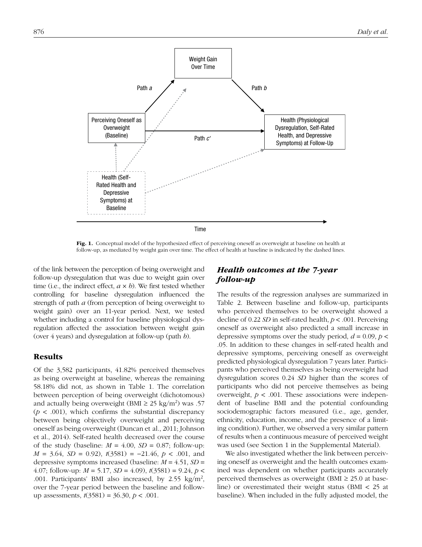

Fig. 1. Conceptual model of the hypothesized effect of perceiving oneself as overweight at baseline on health at follow-up, as mediated by weight gain over time. The effect of health at baseline is indicated by the dashed lines.

of the link between the perception of being overweight and follow-up dysregulation that was due to weight gain over time (i.e., the indirect effect,  $a \times b$ ). We first tested whether controlling for baseline dysregulation influenced the strength of path *a* (from perception of being overweight to weight gain) over an 11-year period. Next, we tested whether including a control for baseline physiological dysregulation affected the association between weight gain (over 4 years) and dysregulation at follow-up (path *b*).

## Results

Of the 3,582 participants, 41.82% perceived themselves as being overweight at baseline, whereas the remaining 58.18% did not, as shown in Table 1. The correlation between perception of being overweight (dichotomous) and actually being overweight (BMI  $\geq$  25 kg/m<sup>2</sup>) was .57  $(p < .001)$ , which confirms the substantial discrepancy between being objectively overweight and perceiving oneself as being overweight (Duncan et al., 2011; Johnson et al., 2014). Self-rated health decreased over the course of the study (baseline:  $M = 4.00$ ,  $SD = 0.87$ ; follow-up: *M* = 3.64, *SD* = 0.92), *t*(3581) = −21.46, *p* < .001, and depressive symptoms increased (baseline: *M* = 4.51, *SD* = 4.07; follow-up: *M* = 5.17, *SD* = 4.09), *t*(3581) = 9.24, *p* < .001. Participants' BMI also increased, by 2.55 kg/m2 , over the 7-year period between the baseline and followup assessments, *t*(3581) = 36.30, *p* < .001.

## *Health outcomes at the 7-year follow-up*

The results of the regression analyses are summarized in Table 2. Between baseline and follow-up, participants who perceived themselves to be overweight showed a decline of 0.22 *SD* in self-rated health, *p* < .001. Perceiving oneself as overweight also predicted a small increase in depressive symptoms over the study period,  $d = 0.09$ ,  $p <$ .05. In addition to these changes in self-rated health and depressive symptoms, perceiving oneself as overweight predicted physiological dysregulation 7 years later. Participants who perceived themselves as being overweight had dysregulation scores 0.24 *SD* higher than the scores of participants who did not perceive themselves as being overweight,  $p < .001$ . These associations were independent of baseline BMI and the potential confounding sociodemographic factors measured (i.e., age, gender, ethnicity, education, income, and the presence of a limiting condition). Further, we observed a very similar pattern of results when a continuous measure of perceived weight was used (see Section 1 in the Supplemental Material).

We also investigated whether the link between perceiving oneself as overweight and the health outcomes examined was dependent on whether participants accurately perceived themselves as overweight (BMI  $\geq$  25.0 at baseline) or overestimated their weight status (BMI < 25 at baseline). When included in the fully adjusted model, the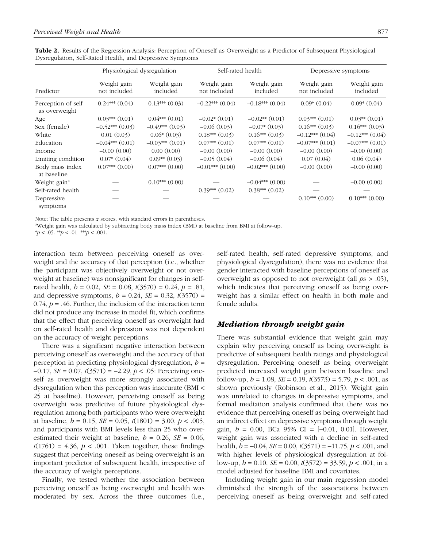| Predictor                           | Physiological dysregulation |                         | Self-rated health           |                         | Depressive symptoms         |                         |  |  |
|-------------------------------------|-----------------------------|-------------------------|-----------------------------|-------------------------|-----------------------------|-------------------------|--|--|
|                                     | Weight gain<br>not included | Weight gain<br>included | Weight gain<br>not included | Weight gain<br>included | Weight gain<br>not included | Weight gain<br>included |  |  |
| Perception of self<br>as overweight | $0.24***$ $(0.04)$          | $0.13***(0.03)$         | $-0.22$ *** $(0.04)$        | $-0.18***$ $(0.04)$     | $0.09*(0.04)$               | $0.09*(0.04)$           |  |  |
| Age                                 | $0.03$ *** $(0.01)$         | $0.04$ *** $(0.01)$     | $-0.02*(0.01)$              | $-0.02**$ (0.01)        | $0.03***$ $(0.01)$          | $0.03**$ $(0.01)$       |  |  |
| Sex (female)                        | $-0.52$ *** $(0.03)$        | $-0.49***$ $(0.03)$     | $-0.06(0.03)$               | $-0.07*(0.03)$          | $0.16***(0.03)$             | $0.16***(0.03)$         |  |  |
| White                               | 0.01(0.03)                  | $0.06*(0.03)$           | $0.18***(0.03)$             | $0.16***(0.03)$         | $-0.12***$ $(0.04)$         | $-0.12***$ $(0.04)$     |  |  |
| Education                           | $-0.04***$ $(0.01)$         | $-0.03***$ $(0.01)$     | $0.07***$ $(0.01)$          | $0.07***$ $(0.01)$      | $-0.07***$ $(0.01)$         | $-0.07***$ $(0.01)$     |  |  |
| Income                              | $-0.00(0.00)$               | 0.00(0.00)              | $-0.00(0.00)$               | $-0.00(0.00)$           | $-0.00(0.00)$               | $-0.00(0.00)$           |  |  |
| Limiting condition                  | $0.07*(0.04)$               | $0.09**$ $(0.03)$       | $-0.05(0.04)$               | $-0.06(0.04)$           | 0.07(0.04)                  | 0.06(0.04)              |  |  |
| Body mass index<br>at baseline      | $0.07***$ $(0.00)$          | $0.07***$ $(0.00)$      | $-0.01***$ $(0.00)$         | $-0.02***(0.00)$        | $-0.00(0.00)$               | $-0.00(0.00)$           |  |  |
| Weight gain <sup>a</sup>            |                             | $0.10***$ $(0.00)$      |                             | $-0.04***$ $(0.00)$     |                             | $-0.00(0.00)$           |  |  |
| Self-rated health                   |                             |                         | $0.39***(0.02)$             | $0.38***$ $(0.02)$      |                             |                         |  |  |
| Depressive<br>symptoms              |                             |                         |                             |                         | $0.10***$ $(0.00)$          | $0.10***$ $(0.00)$      |  |  |

Table 2. Results of the Regression Analysis: Perception of Oneself as Overweight as a Predictor of Subsequent Physiological Dysregulation, Self-Rated Health, and Depressive Symptoms

Note: The table presents *z* scores, with standard errors in parentheses.

a Weight gain was calculated by subtracting body mass index (BMI) at baseline from BMI at follow-up.

 $* p < .05.$  \*\* $p < .01.$  \*\* $p < .001.$ 

interaction term between perceiving oneself as overweight and the accuracy of that perception (i.e., whether the participant was objectively overweight or not overweight at baseline) was nonsignificant for changes in selfrated health, *b* = 0.02, *SE* = 0.08, *t*(3570) = 0.24, *p* = .81, and depressive symptoms,  $b = 0.24$ ,  $SE = 0.32$ ,  $t(3570) =$  $0.74$ ,  $p = .46$ . Further, the inclusion of the interaction term did not produce any increase in model fit, which confirms that the effect that perceiving oneself as overweight had on self-rated health and depression was not dependent on the accuracy of weight perceptions.

There was a significant negative interaction between perceiving oneself as overweight and the accuracy of that perception in predicting physiological dysregulation, *b* = −0.17, *SE* = 0.07, *t*(3571) = −2.29, *p* < .05: Perceiving oneself as overweight was more strongly associated with dysregulation when this perception was inaccurate (BMI < 25 at baseline). However, perceiving oneself as being overweight was predictive of future physiological dysregulation among both participants who were overweight at baseline,  $b = 0.15$ ,  $SE = 0.05$ ,  $t(1801) = 3.00$ ,  $p < .005$ , and participants with BMI levels less than 25 who overestimated their weight at baseline,  $b = 0.26$ ,  $SE = 0.06$ ,  $t(1761) = 4.36$ ,  $p < .001$ . Taken together, these findings suggest that perceiving oneself as being overweight is an important predictor of subsequent health, irrespective of the accuracy of weight perceptions.

Finally, we tested whether the association between perceiving oneself as being overweight and health was moderated by sex. Across the three outcomes (i.e., self-rated health, self-rated depressive symptoms, and physiological dysregulation), there was no evidence that gender interacted with baseline perceptions of oneself as overweight as opposed to not overweight (all *p*s > .05), which indicates that perceiving oneself as being overweight has a similar effect on health in both male and female adults.

## *Mediation through weight gain*

There was substantial evidence that weight gain may explain why perceiving oneself as being overweight is predictive of subsequent health ratings and physiological dysregulation. Perceiving oneself as being overweight predicted increased weight gain between baseline and follow-up,  $b = 1.08$ ,  $SE = 0.19$ ,  $t(3573) = 5.79$ ,  $p < .001$ , as shown previously (Robinson et al., 2015). Weight gain was unrelated to changes in depressive symptoms, and formal mediation analysis confirmed that there was no evidence that perceiving oneself as being overweight had an indirect effect on depressive symptoms through weight gain,  $b = 0.00$ , BCa 95% CI =  $[-0.01, 0.01]$ . However, weight gain was associated with a decline in self-rated health, *b* = −0.04, *SE* = 0.00, *t*(3571) = −11.75, *p* < .001, and with higher levels of physiological dysregulation at follow-up, *b* = 0.10, *SE* = 0.00, *t*(3572) = 33.59, *p* < .001, in a model adjusted for baseline BMI and covariates.

Including weight gain in our main regression model diminished the strength of the associations between perceiving oneself as being overweight and self-rated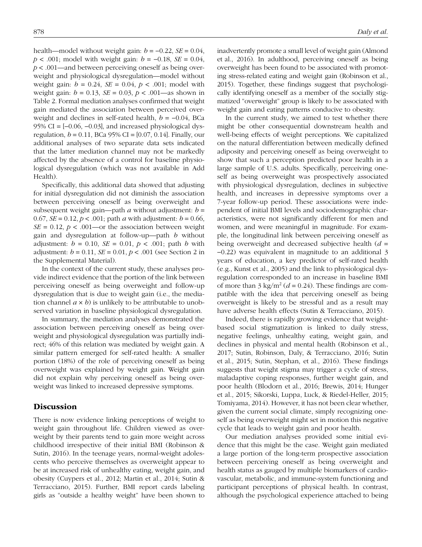health—model without weight gain:  $b = -0.22$ ,  $SE = 0.04$ , *p* < .001; model with weight gain: *b* = −0.18, *SE* = 0.04, *p* < .001—and between perceiving oneself as being overweight and physiological dysregulation—model without weight gain:  $b = 0.24$ ,  $SE = 0.04$ ,  $p < .001$ ; model with weight gain: *b* = 0.13, *SE* = 0.03, *p* < .001—as shown in Table 2. Formal mediation analyses confirmed that weight gain mediated the association between perceived overweight and declines in self-rated health, *b* = −0.04, BCa 95% CI =  $[-0.06, -0.03]$ , and increased physiological dysregulation,  $b = 0.11$ , BCa 95% CI = [0.07, 0.14]. Finally, our additional analyses of two separate data sets indicated that the latter mediation channel may not be markedly affected by the absence of a control for baseline physiological dysregulation (which was not available in Add Health).

Specifically, this additional data showed that adjusting for initial dysregulation did not diminish the association between perceiving oneself as being overweight and subsequent weight gain—path  $a$  without adjustment:  $b =$ 0.67, *SE* = 0.12, *p* < .001; path *a* with adjustment:  $b = 0.66$ ,  $SE = 0.12$ ,  $p < .001$ —or the association between weight gain and dysregulation at follow-up—path *b* without adjustment:  $b = 0.10$ ,  $SE = 0.01$ ,  $p < .001$ ; path *b* with adjustment:  $b = 0.11$ ,  $SE = 0.01$ ,  $p < .001$  (see Section 2 in the Supplemental Material).

In the context of the current study, these analyses provide indirect evidence that the portion of the link between perceiving oneself as being overweight and follow-up dysregulation that is due to weight gain (i.e., the mediation channel  $a \times b$ ) is unlikely to be attributable to unobserved variation in baseline physiological dysregulation.

In summary, the mediation analyses demonstrated the association between perceiving oneself as being overweight and physiological dysregulation was partially indirect; 46% of this relation was mediated by weight gain. A similar pattern emerged for self-rated health: A smaller portion (18%) of the role of perceiving oneself as being overweight was explained by weight gain. Weight gain did not explain why perceiving oneself as being overweight was linked to increased depressive symptoms.

## **Discussion**

There is now evidence linking perceptions of weight to weight gain throughout life. Children viewed as overweight by their parents tend to gain more weight across childhood irrespective of their initial BMI (Robinson & Sutin, 2016). In the teenage years, normal-weight adolescents who perceive themselves as overweight appear to be at increased risk of unhealthy eating, weight gain, and obesity (Cuypers et al., 2012; Martin et al., 2014; Sutin & Terracciano, 2015). Further, BMI report cards labeling girls as "outside a healthy weight" have been shown to inadvertently promote a small level of weight gain (Almond et al., 2016). In adulthood, perceiving oneself as being overweight has been found to be associated with promoting stress-related eating and weight gain (Robinson et al., 2015). Together, these findings suggest that psychologically identifying oneself as a member of the socially stigmatized "overweight" group is likely to be associated with weight gain and eating patterns conducive to obesity.

In the current study, we aimed to test whether there might be other consequential downstream health and well-being effects of weight perceptions. We capitalized on the natural differentiation between medically defined adiposity and perceiving oneself as being overweight to show that such a perception predicted poor health in a large sample of U.S. adults. Specifically, perceiving oneself as being overweight was prospectively associated with physiological dysregulation, declines in subjective health, and increases in depressive symptoms over a 7-year follow-up period. These associations were independent of initial BMI levels and sociodemographic characteristics, were not significantly different for men and women, and were meaningful in magnitude. For example, the longitudinal link between perceiving oneself as being overweight and decreased subjective health (*d* = −0.22) was equivalent in magnitude to an additional 3 years of education, a key predictor of self-rated health (e.g., Kunst et al., 2005) and the link to physiological dysregulation corresponded to an increase in baseline BMI of more than  $3 \text{ kg/m}^2$  ( $d = 0.24$ ). These findings are compatible with the idea that perceiving oneself as being overweight is likely to be stressful and as a result may have adverse health effects (Sutin & Terracciano, 2015).

Indeed, there is rapidly growing evidence that weightbased social stigmatization is linked to daily stress, negative feelings, unhealthy eating, weight gain, and declines in physical and mental health (Robinson et al., 2017; Sutin, Robinson, Daly, & Terracciano, 2016; Sutin et al., 2015; Sutin, Stephan, et al., 2016). These findings suggests that weight stigma may trigger a cycle of stress, maladaptive coping responses, further weight gain, and poor health (Blodorn et al., 2016; Brewis, 2014; Hunger et al., 2015; Sikorski, Luppa, Luck, & Riedel-Heller, 2015; Tomiyama, 2014). However, it has not been clear whether, given the current social climate, simply recognizing oneself as being overweight might set in motion this negative cycle that leads to weight gain and poor health.

Our mediation analyses provided some initial evidence that this might be the case. Weight gain mediated a large portion of the long-term prospective association between perceiving oneself as being overweight and health status as gauged by multiple biomarkers of cardiovascular, metabolic, and immune-system functioning and participant perceptions of physical health. In contrast, although the psychological experience attached to being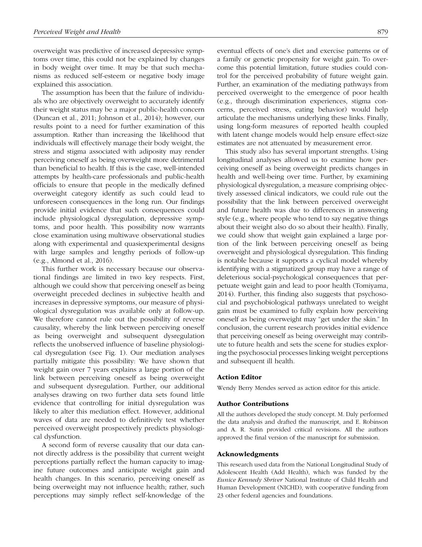overweight was predictive of increased depressive symptoms over time, this could not be explained by changes in body weight over time. It may be that such mechanisms as reduced self-esteem or negative body image explained this association.

The assumption has been that the failure of individuals who are objectively overweight to accurately identify their weight status may be a major public-health concern (Duncan et al., 2011; Johnson et al., 2014); however, our results point to a need for further examination of this assumption. Rather than increasing the likelihood that individuals will effectively manage their body weight, the stress and stigma associated with adiposity may render perceiving oneself as being overweight more detrimental than beneficial to health. If this is the case, well-intended attempts by health-care professionals and public-health officials to ensure that people in the medically defined overweight category identify as such could lead to unforeseen consequences in the long run. Our findings provide initial evidence that such consequences could include physiological dysregulation, depressive symptoms, and poor health. This possibility now warrants close examination using multiwave observational studies along with experimental and quasiexperimental designs with large samples and lengthy periods of follow-up (e.g., Almond et al., 2016).

This further work is necessary because our observational findings are limited in two key respects. First, although we could show that perceiving oneself as being overweight preceded declines in subjective health and increases in depressive symptoms, our measure of physiological dysregulation was available only at follow-up. We therefore cannot rule out the possibility of reverse causality, whereby the link between perceiving oneself as being overweight and subsequent dysregulation reflects the unobserved influence of baseline physiological dysregulation (see Fig. 1). Our mediation analyses partially mitigate this possibility: We have shown that weight gain over 7 years explains a large portion of the link between perceiving oneself as being overweight and subsequent dysregulation. Further, our additional analyses drawing on two further data sets found little evidence that controlling for initial dysregulation was likely to alter this mediation effect. However, additional waves of data are needed to definitively test whether perceived overweight prospectively predicts physiological dysfunction.

A second form of reverse causality that our data cannot directly address is the possibility that current weight perceptions partially reflect the human capacity to imagine future outcomes and anticipate weight gain and health changes. In this scenario, perceiving oneself as being overweight may not influence health; rather, such perceptions may simply reflect self-knowledge of the eventual effects of one's diet and exercise patterns or of a family or genetic propensity for weight gain. To overcome this potential limitation, future studies could control for the perceived probability of future weight gain. Further, an examination of the mediating pathways from perceived overweight to the emergence of poor health (e.g., through discrimination experiences, stigma concerns, perceived stress, eating behavior) would help articulate the mechanisms underlying these links. Finally, using long-form measures of reported health coupled with latent change models would help ensure effect-size estimates are not attenuated by measurement error.

This study also has several important strengths. Using longitudinal analyses allowed us to examine how perceiving oneself as being overweight predicts changes in health and well-being over time. Further, by examining physiological dysregulation, a measure comprising objectively assessed clinical indicators, we could rule out the possibility that the link between perceived overweight and future health was due to differences in answering style (e.g., where people who tend to say negative things about their weight also do so about their health). Finally, we could show that weight gain explained a large portion of the link between perceiving oneself as being overweight and physiological dysregulation. This finding is notable because it supports a cyclical model whereby identifying with a stigmatized group may have a range of deleterious social-psychological consequences that perpetuate weight gain and lead to poor health (Tomiyama, 2014). Further, this finding also suggests that psychosocial and psychobiological pathways unrelated to weight gain must be examined to fully explain how perceiving oneself as being overweight may "get under the skin." In conclusion, the current research provides initial evidence that perceiving oneself as being overweight may contribute to future health and sets the scene for studies exploring the psychosocial processes linking weight perceptions and subsequent ill health.

#### Action Editor

Wendy Berry Mendes served as action editor for this article.

#### Author Contributions

All the authors developed the study concept. M. Daly performed the data analysis and drafted the manuscript, and E. Robinson and A. R. Sutin provided critical revisions. All the authors approved the final version of the manuscript for submission.

#### Acknowledgments

This research used data from the National Longitudinal Study of Adolescent Health (Add Health), which was funded by the *Eunice Kennedy Shriver* National Institute of Child Health and Human Development (NICHD), with cooperative funding from 23 other federal agencies and foundations.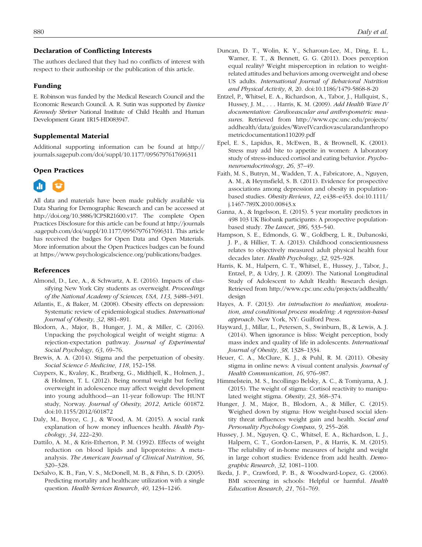#### Declaration of Conflicting Interests

The authors declared that they had no conflicts of interest with respect to their authorship or the publication of this article.

#### Funding

E. Robinson was funded by the Medical Research Council and the Economic Research Council. A. R. Sutin was supported by *Eunice Kennedy Shriver* National Institute of Child Health and Human Development Grant 1R15-HD083947.

#### Supplemental Material

Additional supporting information can be found at http:// journals.sagepub.com/doi/suppl/10.1177/0956797617696311

#### Open Practices



All data and materials have been made publicly available via Data Sharing for Demographic Research and can be accessed at http://doi.org/10.3886/ICPSR21600.v17. The complete Open [Practices Disclosure for this article can be found at http://journals](http://journals.sagepub.com/doi/suppl/10.1177/0956797617696311.) .sagepub.com/doi/suppl/10.1177/0956797617696311. This article has received the badges for Open Data and Open Materials. More information about the Open Practices badges can be found at https://www.psychologicalscience.org/publications/badges.

### References

- Almond, D., Lee, A., & Schwartz, A. E. (2016). Impacts of classifying New York City students as overweight. *Proceedings of the National Academy of Sciences, USA*, *113*, 3488–3491.
- Atlantis, E., & Baker, M. (2008). Obesity effects on depression: Systematic review of epidemiological studies. *International Journal of Obesity*, *32*, 881–891.
- Blodorn, A., Major, B., Hunger, J. M., & Miller, C. (2016). Unpacking the psychological weight of weight stigma: A rejection-expectation pathway. *Journal of Experimental Social Psychology*, *63*, 69–76.
- Brewis, A. A. (2014). Stigma and the perpetuation of obesity. *Social Science & Medicine*, *118*, 152–158.
- Cuypers, K., Kvaløy, K., Bratberg, G., Midthjell, K., Holmen, J., & Holmen, T. L. (2012). Being normal weight but feeling overweight in adolescence may affect weight development into young adulthood—an 11-year followup: The HUNT study, Norway. *Journal of Obesity, 2012*, Article 601872. doi:10.1155/2012/601872
- Daly, M., Boyce, C. J., & Wood, A. M. (2015). A social rank explanation of how money influences health. *Health Psychology*, *34*, 222–230.
- Dattilo, A. M., & Kris-Etherton, P. M. (1992). Effects of weight reduction on blood lipids and lipoproteins: A metaanalysis. *The American Journal of Clinical Nutrition*, *56*, 320–328.
- DeSalvo, K. B., Fan, V. S., McDonell, M. B., & Fihn, S. D. (2005). Predicting mortality and healthcare utilization with a single question. *Health Services Research*, *40*, 1234–1246.
- Duncan, D. T., Wolin, K. Y., Scharoun-Lee, M., Ding, E. L., Warner, E. T., & Bennett, G. G. (2011). Does perception equal reality? Weight misperception in relation to weightrelated attitudes and behaviors among overweight and obese US adults. *International Journal of Behavioral Nutrition and Physical Activity*, *8*, 20. doi:10.1186/1479-5868-8-20
- Entzel, P., Whitsel, E. A., Richardson, A., Tabor, J., Hallquist, S., Hussey, J. M., . . . Harris, K. M. (2009). *Add Health Wave IV documentation: Cardiovascular and anthropometric measures*. Retrieved from http://www.cpc.unc.edu/projects/ [addhealth/data/guides/WaveIVcardiovascularandanthropo](http://www.cpc.unc.edu/projects/addhealth/data/guides/WaveIVcardiovascularandanthropometricdocumentation110209.pdf) metricdocumentation110209.pdf
- Epel, E. S., Lapidus, R., McEwen, B., & Brownell, K. (2001). Stress may add bite to appetite in women: A laboratory study of stress-induced cortisol and eating behavior. *Psychoneuroendocrinology*, *26*, 37–49.
- Faith, M. S., Butryn, M., Wadden, T. A., Fabricatore, A., Nguyen, A. M., & Heymsfield, S. B. (2011). Evidence for prospective associations among depression and obesity in populationbased studies. *Obesity Reviews*, *12*, e438–e453. doi:10.1111/ j.1467-789X.2010.00843.x
- Ganna, A., & Ingelsson, E. (2015). 5 year mortality predictors in 498 103 UK Biobank participants: A prospective populationbased study. *The Lancet*, *386*, 533–540.
- Hampson, S. E., Edmonds, G. W., Goldberg, L. R., Dubanoski, J. P., & Hillier, T. A. (2013). Childhood conscientiousness relates to objectively measured adult physical health four decades later. *Health Psychology*, *32*, 925–928.
- Harris, K. M., Halpern, C. T., Whitsel, E., Hussey, J., Tabor, J., Entzel, P., & Udry, J. R. (2009). The National Longitudinal Study of Adolescent to Adult Health: Research design. [Retrieved from http://www.cpc.unc.edu/projects/addhealth/](http://www.cpc.unc.edu/projects/addhealth/design) design
- Hayes, A. F. (2013). *An introduction to mediation, moderation, and conditional process modeling: A regression-based approach*. New York, NY: Guilford Press.
- Hayward, J., Millar, L., Petersen, S., Swinburn, B., & Lewis, A. J. (2014). When ignorance is bliss: Weight perception, body mass index and quality of life in adolescents. *International Journal of Obesity*, *38*, 1328–1334.
- Heuer, C. A., McClure, K. J., & Puhl, R. M. (2011). Obesity stigma in online news: A visual content analysis. *Journal of Health Communication*, *16*, 976–987.
- Himmelstein, M. S., Incollingo Belsky, A. C., & Tomiyama, A. J. (2015). The weight of stigma: Cortisol reactivity to manipulated weight stigma. *Obesity*, *23*, 368–374.
- Hunger, J. M., Major, B., Blodorn, A., & Miller, C. (2015). Weighed down by stigma: How weight-based social identity threat influences weight gain and health. *Social and Personality Psychology Compass*, *9*, 255–268.
- Hussey, J. M., Nguyen, Q. C., Whitsel, E. A., Richardson, L. J., Halpern, C. T., Gordon-Larsen, P., & Harris, K. M. (2015). The reliability of in-home measures of height and weight in large cohort studies: Evidence from add health. *Demographic Research*, *32*, 1081–1100.
- Ikeda, J. P., Crawford, P. B., & Woodward-Lopez, G. (2006). BMI screening in schools: Helpful or harmful. *Health Education Research*, *21*, 761–769.